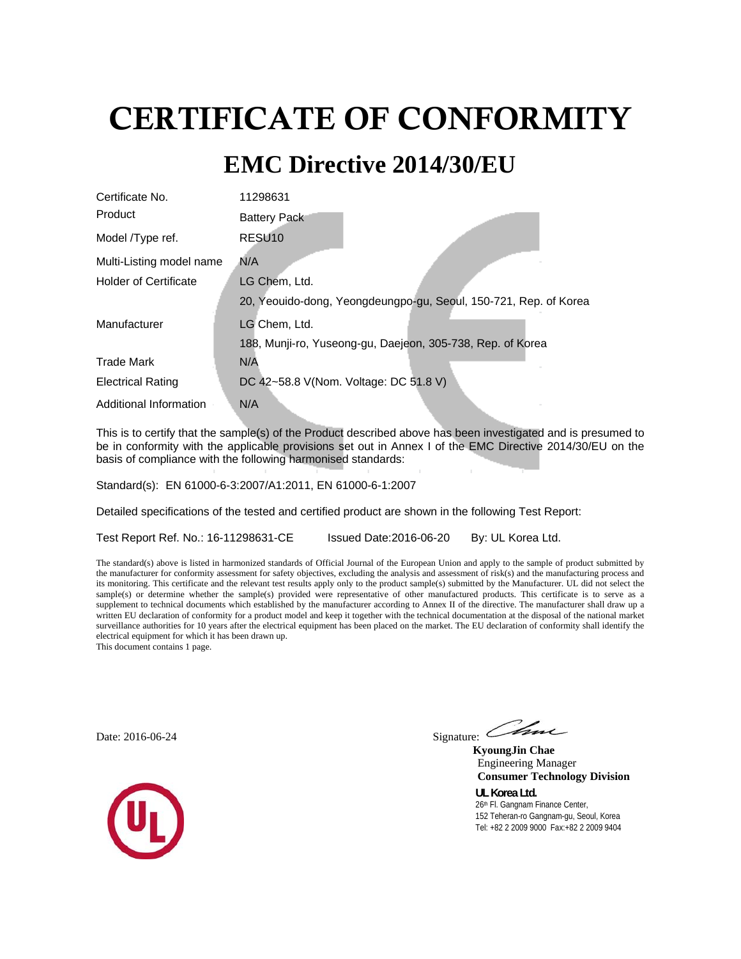# CERTIFICATE OF CONFORMITY

# **EMC Directive 2014/30/EU**

| Certificate No.              | 11298631                                                         |  |
|------------------------------|------------------------------------------------------------------|--|
| Product                      | <b>Battery Pack</b>                                              |  |
| Model <i>Type</i> ref.       | RESU <sub>10</sub>                                               |  |
| Multi-Listing model name     | N/A                                                              |  |
| <b>Holder of Certificate</b> | LG Chem, Ltd.                                                    |  |
|                              | 20, Yeouido-dong, Yeongdeungpo-gu, Seoul, 150-721, Rep. of Korea |  |
| Manufacturer                 | LG Chem, Ltd.                                                    |  |
|                              | 188, Munji-ro, Yuseong-gu, Daejeon, 305-738, Rep. of Korea       |  |
| <b>Trade Mark</b>            | N/A                                                              |  |
| <b>Electrical Rating</b>     | DC 42~58.8 V(Nom. Voltage: DC 51.8 V)                            |  |
| Additional Information       | N/A                                                              |  |

This is to certify that the sample(s) of the Product described above has been investigated and is presumed to be in conformity with the applicable provisions set out in Annex I of the EMC Directive 2014/30/EU on the basis of compliance with the following harmonised standards:

Standard(s): EN 61000-6-3:2007/A1:2011, EN 61000-6-1:2007

Detailed specifications of the tested and certified product are shown in the following Test Report:

Test Report Ref. No.: 16-11298631-CE Issued Date:2016-06-20 By: UL Korea Ltd.

The standard(s) above is listed in harmonized standards of Official Journal of the European Union and apply to the sample of product submitted by the manufacturer for conformity assessment for safety objectives, excluding the analysis and assessment of risk(s) and the manufacturing process and its monitoring. This certificate and the relevant test results apply only to the product sample(s) submitted by the Manufacturer. UL did not select the sample(s) or determine whether the sample(s) provided were representative of other manufactured products. This certificate is to serve as a supplement to technical documents which established by the manufacturer according to Annex II of the directive. The manufacturer shall draw up a written EU declaration of conformity for a product model and keep it together with the technical documentation at the disposal of the national market surveillance authorities for 10 years after the electrical equipment has been placed on the market. The EU declaration of conformity shall identify the electrical equipment for which it has been drawn up. This document contains 1 page.

Date: 2016-06-24 Signature: 2016-06-24

 **KyoungJin Chae** Engineering Manager  **Consumer Technology Division UL Korea Ltd.**  26th Fl. Gangnam Finance Center, 152 Teheran-ro Gangnam-gu, Seoul, Korea Tel: +82 2 2009 9000 Fax:+82 2 2009 9404

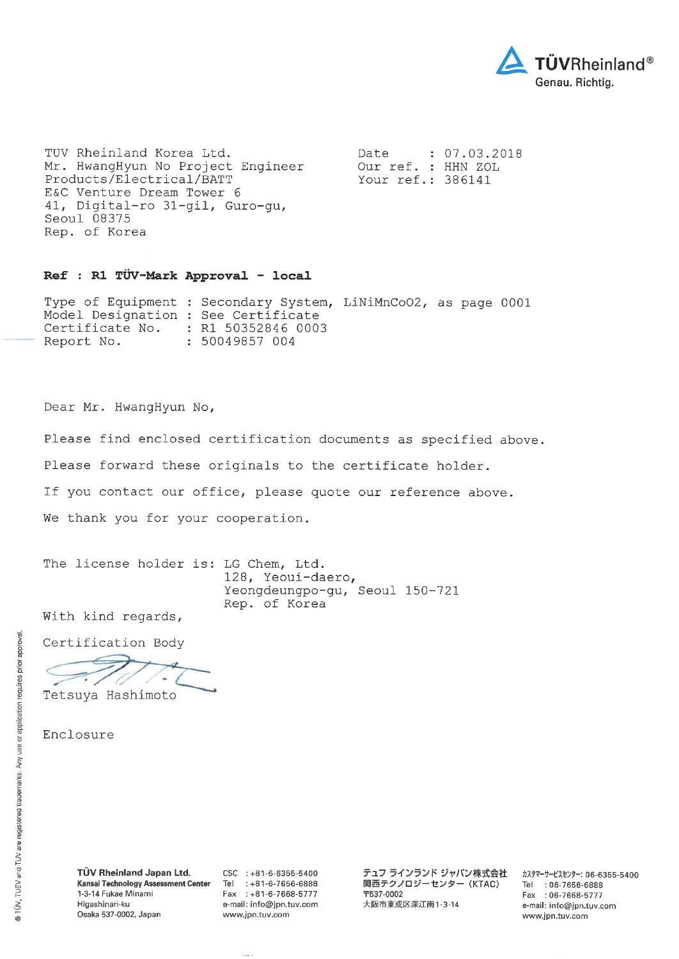

TUV Rheinland Korea Ltd. Mr. HwangHyun No Project Engineer Products/Electrical/BATT E&C Venture Dream Tower 6 41, Digital-ro 31-gil, Guro-gu, Seoul 08375 Rep. of Korea

Date  $: 07.03.2018$ Our ref. : HHN ZOL Your ref.: 386141

## Ref : R1 TÜV-Mark Approval - local

Type of Equipment : Secondary System, LiNiMnCoO2, as page 0001 Model Designation : See Certificate : R1 50352846 0003 Certificate No. Report No. : 50049857 004

Dear Mr. HwangHyun No,

Please find enclosed certification documents as specified above.

Please forward these originals to the certificate holder.

If you contact our office, please quote our reference above.

We thank you for your cooperation.

The license holder is: LG Chem, Ltd. 128, Yeoui-daero, Yeongdeungpo-gu, Seoul 150-721 Rep. of Korea

With kind regards,

Certification Body

Tetsuya Hashimoto

TÜV Rheinland Japan Ltd. Kansai Technology Assessment Center 1-3-14 Fukae Minami Higashinari-ku Osaka 537-0002, Japan

 $CSC$  : +81-6-6355-5400 Tel : +81-6-7656-6888 Fax: +81-6-7668-5777 e-mail: info@jpn.tuv.com www.jpn.tuv.com

テュフ ラインランド ジャパン株式会社 、<br>関西テクノロジーセンター (KTAC) 〒537-0002 大阪市東成区深江南1-3-14

カスタマーサービスセンター: 06-6355-5400 Tel : 06-7656-6888 Fax: 06-7668-5777 e-mail: info@jpn.tuv.com www.jpn.tuv.com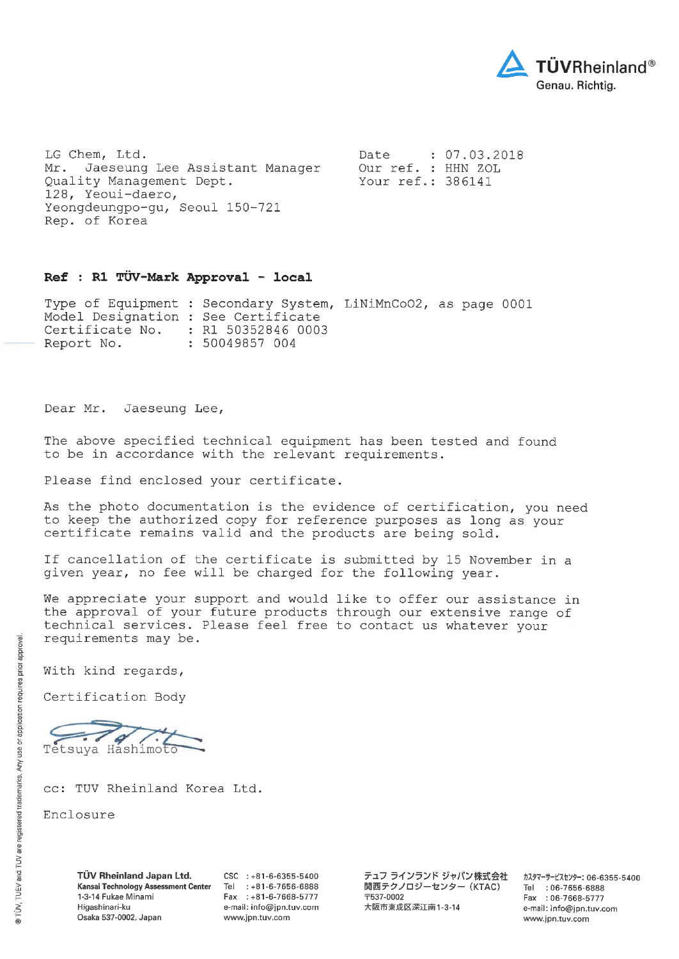

LG Chem, Ltd. Mr. Jaeseung Lee Assistant Manager Quality Management Dept. 128, Yeoui-daero, Yeongdeungpo-gu, Seoul 150-721 Rep. of Korea

 $: 07.03.2018$ Date Our ref. : HHN ZOL Your ref.: 386141

# Ref : R1 TÜV-Mark Approval - local

Type of Equipment : Secondary System, LiNiMnCoO2, as page 0001 Model Designation : See Certificate Certificate No. : R1 50352846 0003 : 50049857 004 Report No.

Dear Mr. Jaeseung Lee,

The above specified technical equipment has been tested and found to be in accordance with the relevant requirements.

Please find enclosed your certificate.

As the photo documentation is the evidence of certification, you need to keep the authorized copy for reference purposes as long as your certificate remains valid and the products are being sold.

If cancellation of the certificate is submitted by 15 November in a given year, no fee will be charged for the following year.

We appreciate your support and would like to offer our assistance in the approval of your future products through our extensive range of technical services. Please feel free to contact us whatever your requirements may be.

With kind regards,

Certification Body

9 Tetsuya Hashimoto

cc: TUV Rheinland Korea Ltd.

Enclosure

TÜV Rheinland Japan Ltd. Kansai Technology Assessment Center 1-3-14 Fukae Minami Higashinari-ku Osaka 537-0002, Japan

 $CSC$  : +81-6-6355-5400 Tel: +81-6-7656-6888 Fax: +81-6-7668-5777 e-mail: info@jpn.tuv.com www.jpn.tuv.com

テュフ ラインランド ジャパン株式会社 関西テクノロジーセンター (KTAC) 〒537-0002 大阪市東成区深江南1-3-14

カスタマーサービスセンター: 06-6355-5400 Tel : 06-7656-6888 Fax: 06-7668-5777 e-mail: info@jpn.tuv.com www.jpn.tuv.com